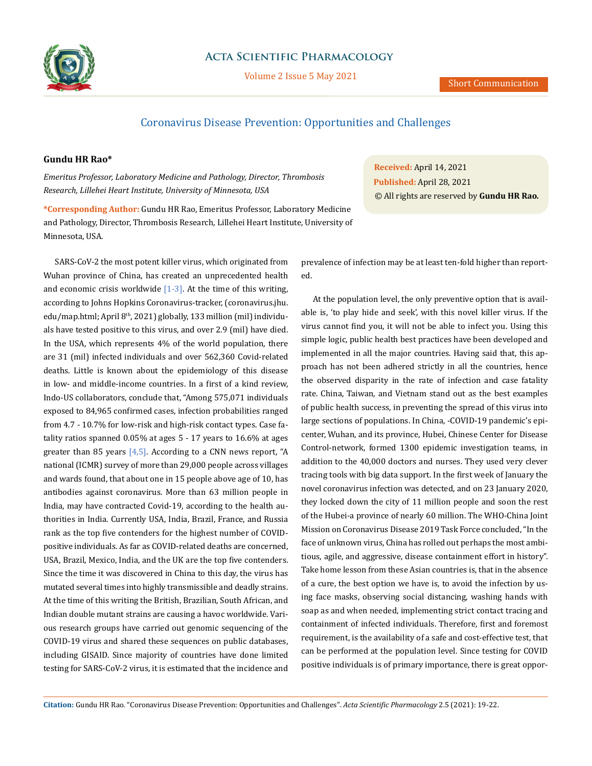

## **Acta Scientific Pharmacology**

Volume 2 Issue 5 May 2021

# Coronavirus Disease Prevention: Opportunities and Challenges

### **Gundu HR Rao\***

*Emeritus Professor, Laboratory Medicine and Pathology, Director, Thrombosis Research, Lillehei Heart Institute, University of Minnesota, USA*

**\*Corresponding Author:** Gundu HR Rao, Emeritus Professor, Laboratory Medicine and Pathology, Director, Thrombosis Research, Lillehei Heart Institute, University of Minnesota, USA.

SARS-CoV-2 the most potent killer virus, which originated from Wuhan province of China, has created an unprecedented health and economic crisis worldwide  $[1-3]$ . At the time of this writing, according to Johns Hopkins Coronavirus-tracker, (coronavirus.jhu. edu/map.html; April 8<sup>th</sup>, 2021) globally, 133 million (mil) individuals have tested positive to this virus, and over 2.9 (mil) have died. In the USA, which represents 4% of the world population, there are 31 (mil) infected individuals and over 562,360 Covid-related deaths. Little is known about the epidemiology of this disease in low- and middle-income countries. In a first of a kind review, Indo-US collaborators, conclude that, "Among 575,071 individuals exposed to 84,965 confirmed cases, infection probabilities ranged from 4.7 - 10.7% for low-risk and high-risk contact types. Case fatality ratios spanned 0.05% at ages 5 - 17 years to 16.6% at ages greater than 85 years  $[4,5]$ . According to a CNN news report, "A national (ICMR) survey of more than 29,000 people across villages and wards found, that about one in 15 people above age of 10, has antibodies against coronavirus. More than 63 million people in India, may have contracted Covid-19, according to the health authorities in India. Currently USA, India, Brazil, France, and Russia rank as the top five contenders for the highest number of COVIDpositive individuals. As far as COVID-related deaths are concerned, USA, Brazil, Mexico, India, and the UK are the top five contenders. Since the time it was discovered in China to this day, the virus has mutated several times into highly transmissible and deadly strains. At the time of this writing the British, Brazilian, South African, and Indian double mutant strains are causing a havoc worldwide. Various research groups have carried out genomic sequencing of the COVID-19 virus and shared these sequences on public databases, including GISAID. Since majority of countries have done limited testing for SARS-CoV-2 virus, it is estimated that the incidence and

**Received:** April 14, 2021 **Published:** April 28, 2021 © All rights are reserved by **Gundu HR Rao***.*

prevalence of infection may be at least ten-fold higher than reported.

At the population level, the only preventive option that is available is, 'to play hide and seek', with this novel killer virus. If the virus cannot find you, it will not be able to infect you. Using this simple logic, public health best practices have been developed and implemented in all the major countries. Having said that, this approach has not been adhered strictly in all the countries, hence the observed disparity in the rate of infection and case fatality rate. China, Taiwan, and Vietnam stand out as the best examples of public health success, in preventing the spread of this virus into large sections of populations. In China, -COVID-19 pandemic's epicenter, Wuhan, and its province, Hubei, Chinese Center for Disease Control-network, formed 1300 epidemic investigation teams, in addition to the 40,000 doctors and nurses. They used very clever tracing tools with big data support. In the first week of January the novel coronavirus infection was detected, and on 23 January 2020, they locked down the city of 11 million people and soon the rest of the Hubei-a province of nearly 60 million. The WHO-China Joint Mission on Coronavirus Disease 2019 Task Force concluded, "In the face of unknown virus, China has rolled out perhaps the most ambitious, agile, and aggressive, disease containment effort in history". Take home lesson from these Asian countries is, that in the absence of a cure, the best option we have is, to avoid the infection by using face masks, observing social distancing, washing hands with soap as and when needed, implementing strict contact tracing and containment of infected individuals. Therefore, first and foremost requirement, is the availability of a safe and cost-effective test, that can be performed at the population level. Since testing for COVID positive individuals is of primary importance, there is great oppor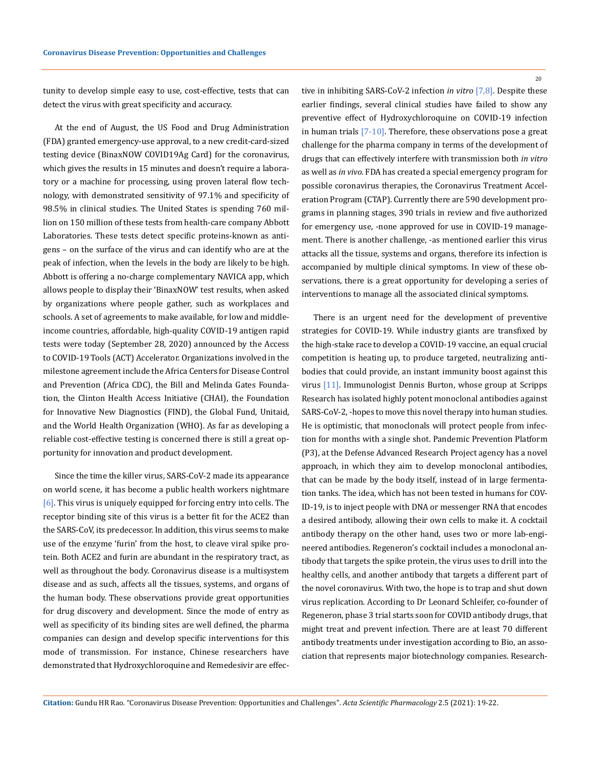tunity to develop simple easy to use, cost-effective, tests that can detect the virus with great specificity and accuracy.

At the end of August, the US Food and Drug Administration (FDA) granted emergency-use approval, to a new credit-card-sized testing device (BinaxNOW COVID19Ag Card) for the coronavirus, which gives the results in 15 minutes and doesn't require a laboratory or a machine for processing, using proven lateral flow technology, with demonstrated sensitivity of 97.1% and specificity of 98.5% in clinical studies. The United States is spending 760 million on 150 million of these tests from health-care company Abbott Laboratories. These tests detect specific proteins-known as antigens – on the surface of the virus and can identify who are at the peak of infection, when the levels in the body are likely to be high. Abbott is offering a no-charge complementary NAVICA app, which allows people to display their 'BinaxNOW' test results, when asked by organizations where people gather, such as workplaces and schools. A set of agreements to make available, for low and middleincome countries, affordable, high-quality COVID-19 antigen rapid tests were today (September 28, 2020) announced by the Access to COVID-19 Tools (ACT) Accelerator. Organizations involved in the milestone agreement include the Africa Centers for Disease Control and Prevention (Africa CDC), the Bill and Melinda Gates Foundation, the Clinton Health Access Initiative (CHAI), the Foundation for Innovative New Diagnostics (FIND), the Global Fund, Unitaid, and the World Health Organization (WHO). As far as developing a reliable cost-effective testing is concerned there is still a great opportunity for innovation and product development.

Since the time the killer virus, SARS-CoV-2 made its appearance on world scene, it has become a public health workers nightmare [6]. This virus is uniquely equipped for forcing entry into cells. The receptor binding site of this virus is a better fit for the ACE2 than the SARS-CoV, its predecessor. In addition, this virus seems to make use of the enzyme 'furin' from the host, to cleave viral spike protein. Both ACE2 and furin are abundant in the respiratory tract, as well as throughout the body. Coronavirus disease is a multisystem disease and as such, affects all the tissues, systems, and organs of the human body. These observations provide great opportunities for drug discovery and development. Since the mode of entry as well as specificity of its binding sites are well defined, the pharma companies can design and develop specific interventions for this mode of transmission. For instance, Chinese researchers have demonstrated that Hydroxychloroquine and Remedesivir are effective in inhibiting SARS-CoV-2 infection *in vitro* [7,8]. Despite these earlier findings, several clinical studies have failed to show any preventive effect of Hydroxychloroquine on COVID-19 infection in human trials [7-10]. Therefore, these observations pose a great challenge for the pharma company in terms of the development of drugs that can effectively interfere with transmission both *in vitro* as well as *in vivo.* FDA has created a special emergency program for possible coronavirus therapies, the Coronavirus Treatment Acceleration Program (CTAP). Currently there are 590 development programs in planning stages, 390 trials in review and five authorized for emergency use, -none approved for use in COVID-19 management. There is another challenge, -as mentioned earlier this virus attacks all the tissue, systems and organs, therefore its infection is accompanied by multiple clinical symptoms. In view of these observations, there is a great opportunity for developing a series of interventions to manage all the associated clinical symptoms.

There is an urgent need for the development of preventive strategies for COVID-19. While industry giants are transfixed by the high-stake race to develop a COVID-19 vaccine, an equal crucial competition is heating up, to produce targeted, neutralizing antibodies that could provide, an instant immunity boost against this virus [11]. Immunologist Dennis Burton, whose group at Scripps Research has isolated highly potent monoclonal antibodies against SARS-CoV-2, -hopes to move this novel therapy into human studies. He is optimistic, that monoclonals will protect people from infection for months with a single shot. Pandemic Prevention Platform (P3), at the Defense Advanced Research Project agency has a novel approach, in which they aim to develop monoclonal antibodies, that can be made by the body itself, instead of in large fermentation tanks. The idea, which has not been tested in humans for COV-ID-19, is to inject people with DNA or messenger RNA that encodes a desired antibody, allowing their own cells to make it. A cocktail antibody therapy on the other hand, uses two or more lab-engineered antibodies. Regeneron's cocktail includes a monoclonal antibody that targets the spike protein, the virus uses to drill into the healthy cells, and another antibody that targets a different part of the novel coronavirus. With two, the hope is to trap and shut down virus replication. According to Dr Leonard Schleifer, co-founder of Regeneron, phase 3 trial starts soon for COVID antibody drugs, that might treat and prevent infection. There are at least 70 different antibody treatments under investigation according to Bio, an association that represents major biotechnology companies. Research-

**Citation:** Gundu HR Rao*.* "Coronavirus Disease Prevention: Opportunities and Challenges". *Acta Scientific Pharmacology* 2.5 (2021): 19-22.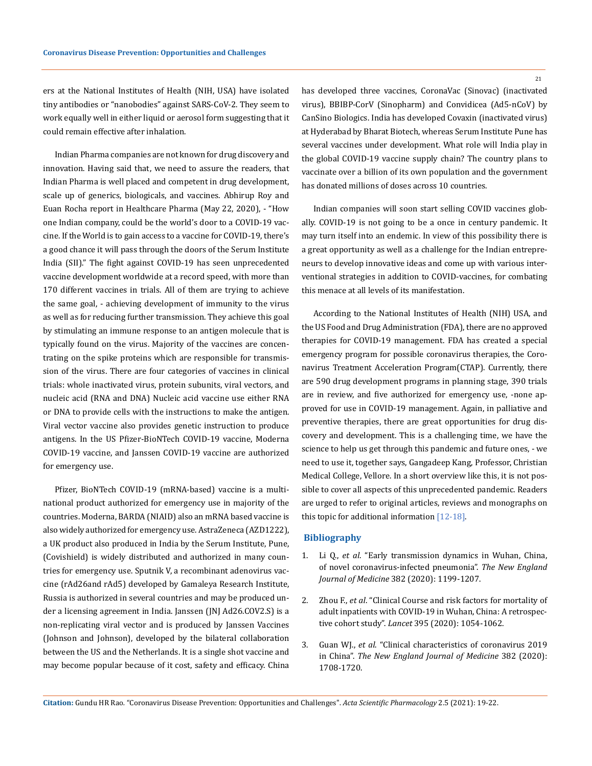ers at the National Institutes of Health (NIH, USA) have isolated tiny antibodies or "nanobodies" against SARS-CoV-2. They seem to work equally well in either liquid or aerosol form suggesting that it could remain effective after inhalation.

Indian Pharma companies are not known for drug discovery and innovation. Having said that, we need to assure the readers, that Indian Pharma is well placed and competent in drug development, scale up of generics, biologicals, and vaccines. Abhirup Roy and Euan Rocha report in Healthcare Pharma (May 22, 2020), - "How one Indian company, could be the world's door to a COVID-19 vaccine. If the World is to gain access to a vaccine for COVID-19, there's a good chance it will pass through the doors of the Serum Institute India (SII)." The fight against COVID-19 has seen unprecedented vaccine development worldwide at a record speed, with more than 170 different vaccines in trials. All of them are trying to achieve the same goal, - achieving development of immunity to the virus as well as for reducing further transmission. They achieve this goal by stimulating an immune response to an antigen molecule that is typically found on the virus. Majority of the vaccines are concentrating on the spike proteins which are responsible for transmission of the virus. There are four categories of vaccines in clinical trials: whole inactivated virus, protein subunits, viral vectors, and nucleic acid (RNA and DNA) Nucleic acid vaccine use either RNA or DNA to provide cells with the instructions to make the antigen. Viral vector vaccine also provides genetic instruction to produce antigens. In the US Pfizer-BioNTech COVID-19 vaccine, Moderna COVID-19 vaccine, and Janssen COVID-19 vaccine are authorized for emergency use.

Pfizer, BioNTech COVID-19 (mRNA-based) vaccine is a multinational product authorized for emergency use in majority of the countries. Moderna, BARDA (NIAID) also an mRNA based vaccine is also widely authorized for emergency use. AstraZeneca (AZD1222), a UK product also produced in India by the Serum Institute, Pune, (Covishield) is widely distributed and authorized in many countries for emergency use. Sputnik V, a recombinant adenovirus vaccine (rAd26and rAd5) developed by Gamaleya Research Institute, Russia is authorized in several countries and may be produced under a licensing agreement in India. Janssen (JNJ Ad26.COV2.S) is a non-replicating viral vector and is produced by Janssen Vaccines (Johnson and Johnson), developed by the bilateral collaboration between the US and the Netherlands. It is a single shot vaccine and may become popular because of it cost, safety and efficacy. China

has developed three vaccines, CoronaVac (Sinovac) (inactivated virus), BBIBP-CorV (Sinopharm) and Convidicea (Ad5-nCoV) by CanSino Biologics. India has developed Covaxin (inactivated virus) at Hyderabad by Bharat Biotech, whereas Serum Institute Pune has several vaccines under development. What role will India play in the global COVID-19 vaccine supply chain? The country plans to vaccinate over a billion of its own population and the government has donated millions of doses across 10 countries.

Indian companies will soon start selling COVID vaccines globally. COVID-19 is not going to be a once in century pandemic. It may turn itself into an endemic. In view of this possibility there is a great opportunity as well as a challenge for the Indian entrepreneurs to develop innovative ideas and come up with various interventional strategies in addition to COVID-vaccines, for combating this menace at all levels of its manifestation.

According to the National Institutes of Health (NIH) USA, and the US Food and Drug Administration (FDA), there are no approved therapies for COVID-19 management. FDA has created a special emergency program for possible coronavirus therapies, the Coronavirus Treatment Acceleration Program(CTAP). Currently, there are 590 drug development programs in planning stage, 390 trials are in review, and five authorized for emergency use, -none approved for use in COVID-19 management. Again, in palliative and preventive therapies, there are great opportunities for drug discovery and development. This is a challenging time, we have the science to help us get through this pandemic and future ones, - we need to use it, together says, Gangadeep Kang, Professor, Christian Medical College, Vellore. In a short overview like this, it is not possible to cover all aspects of this unprecedented pandemic. Readers are urged to refer to original articles, reviews and monographs on this topic for additional information [12-18].

#### **Bibliography**

- 1. Li Q., *et al*[. "Early transmission dynamics in Wuhan, China,](https://www.nejm.org/doi/full/10.1056/nejmoa2001316) [of novel coronavirus-infected pneumonia".](https://www.nejm.org/doi/full/10.1056/nejmoa2001316) *The New England Journal of Medicine* [382 \(2020\): 1199-1207.](https://www.nejm.org/doi/full/10.1056/nejmoa2001316)
- 2. Zhou F., *et al*[. "Clinical Course and risk factors for mortality of](https://pubmed.ncbi.nlm.nih.gov/32171076/) [adult inpatients with COVID-19 in Wuhan, China: A retrospec](https://pubmed.ncbi.nlm.nih.gov/32171076/)tive cohort study". *Lancet* [395 \(2020\): 1054-1062.](https://pubmed.ncbi.nlm.nih.gov/32171076/)
- 3. Guan WJ., *et al*[. "Clinical characteristics of coronavirus 2019](https://www.nejm.org/doi/full/10.1056/nejmoa2002032) in China". *[The New England Journal of Medicine](https://www.nejm.org/doi/full/10.1056/nejmoa2002032)* 382 (2020): [1708-1720.](https://www.nejm.org/doi/full/10.1056/nejmoa2002032)